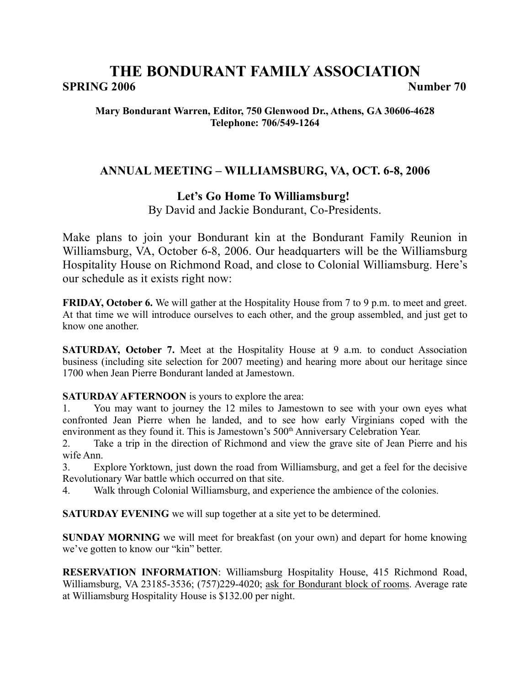# **THE BONDURANT FAMILY ASSOCIATION SPRING 2006 Number 70**

### **Mary Bondurant Warren, Editor, 750 Glenwood Dr., Athens, GA 30606-4628 Telephone: 706/549-1264**

# **ANNUAL MEETING – WILLIAMSBURG, VA, OCT. 6-8, 2006**

# **Let's Go Home To Williamsburg!**

By David and Jackie Bondurant, Co-Presidents.

Make plans to join your Bondurant kin at the Bondurant Family Reunion in Williamsburg, VA, October 6-8, 2006. Our headquarters will be the Williamsburg Hospitality House on Richmond Road, and close to Colonial Williamsburg. Here's our schedule as it exists right now:

**FRIDAY, October 6.** We will gather at the Hospitality House from 7 to 9 p.m. to meet and greet. At that time we will introduce ourselves to each other, and the group assembled, and just get to know one another.

**SATURDAY, October 7.** Meet at the Hospitality House at 9 a.m. to conduct Association business (including site selection for 2007 meeting) and hearing more about our heritage since 1700 when Jean Pierre Bondurant landed at Jamestown.

**SATURDAY AFTERNOON** is yours to explore the area:

1. You may want to journey the 12 miles to Jamestown to see with your own eyes what confronted Jean Pierre when he landed, and to see how early Virginians coped with the environment as they found it. This is Jamestown's 500<sup>th</sup> Anniversary Celebration Year.

2. Take a trip in the direction of Richmond and view the grave site of Jean Pierre and his wife Ann.

3. Explore Yorktown, just down the road from Williamsburg, and get a feel for the decisive Revolutionary War battle which occurred on that site.

4. Walk through Colonial Williamsburg, and experience the ambience of the colonies.

**SATURDAY EVENING** we will sup together at a site yet to be determined.

**SUNDAY MORNING** we will meet for breakfast (on your own) and depart for home knowing we've gotten to know our "kin" better.

**RESERVATION INFORMATION**: Williamsburg Hospitality House, 415 Richmond Road, Williamsburg, VA 23185-3536; (757)229-4020; ask for Bondurant block of rooms. Average rate at Williamsburg Hospitality House is \$132.00 per night.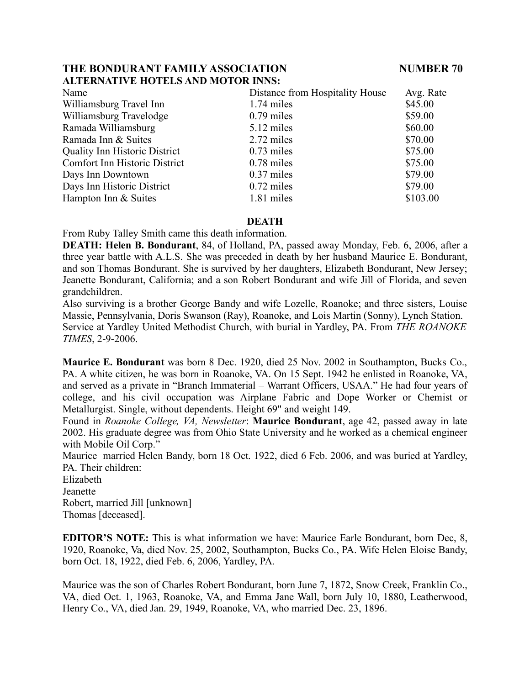# **ALTERNATIVE HOTELS AND MOTOR INNS:**

| Distance from Hospitality House | Avg. Rate |
|---------------------------------|-----------|
| 1.74 miles                      | \$45.00   |
| $0.79$ miles                    | \$59.00   |
| 5.12 miles                      | \$60.00   |
| 2.72 miles                      | \$70.00   |
| $0.73$ miles                    | \$75.00   |
| $0.78$ miles                    | \$75.00   |
| $0.37$ miles                    | \$79.00   |
| $0.72$ miles                    | \$79.00   |
| 1.81 miles                      | \$103.00  |
|                                 |           |

### **DEATH**

From Ruby Talley Smith came this death information.

**DEATH: Helen B. Bondurant**, 84, of Holland, PA, passed away Monday, Feb. 6, 2006, after a three year battle with A.L.S. She was preceded in death by her husband Maurice E. Bondurant, and son Thomas Bondurant. She is survived by her daughters, Elizabeth Bondurant, New Jersey; Jeanette Bondurant, California; and a son Robert Bondurant and wife Jill of Florida, and seven grandchildren.

Also surviving is a brother George Bandy and wife Lozelle, Roanoke; and three sisters, Louise Massie, Pennsylvania, Doris Swanson (Ray), Roanoke, and Lois Martin (Sonny), Lynch Station. Service at Yardley United Methodist Church, with burial in Yardley, PA. From *THE ROANOKE TIMES*, 2-9-2006.

**Maurice E. Bondurant** was born 8 Dec. 1920, died 25 Nov. 2002 in Southampton, Bucks Co., PA. A white citizen, he was born in Roanoke, VA. On 15 Sept. 1942 he enlisted in Roanoke, VA, and served as a private in "Branch Immaterial – Warrant Officers, USAA." He had four years of college, and his civil occupation was Airplane Fabric and Dope Worker or Chemist or Metallurgist. Single, without dependents. Height 69" and weight 149.

Found in *Roanoke College, VA, Newsletter*: **Maurice Bondurant**, age 42, passed away in late 2002. His graduate degree was from Ohio State University and he worked as a chemical engineer with Mobile Oil Corp."

Maurice married Helen Bandy, born 18 Oct. 1922, died 6 Feb. 2006, and was buried at Yardley, PA. Their children:

Elizabeth Jeanette Robert, married Jill [unknown] Thomas [deceased].

**EDITOR'S NOTE:** This is what information we have: Maurice Earle Bondurant, born Dec, 8, 1920, Roanoke, Va, died Nov. 25, 2002, Southampton, Bucks Co., PA. Wife Helen Eloise Bandy, born Oct. 18, 1922, died Feb. 6, 2006, Yardley, PA.

Maurice was the son of Charles Robert Bondurant, born June 7, 1872, Snow Creek, Franklin Co., VA, died Oct. 1, 1963, Roanoke, VA, and Emma Jane Wall, born July 10, 1880, Leatherwood, Henry Co., VA, died Jan. 29, 1949, Roanoke, VA, who married Dec. 23, 1896.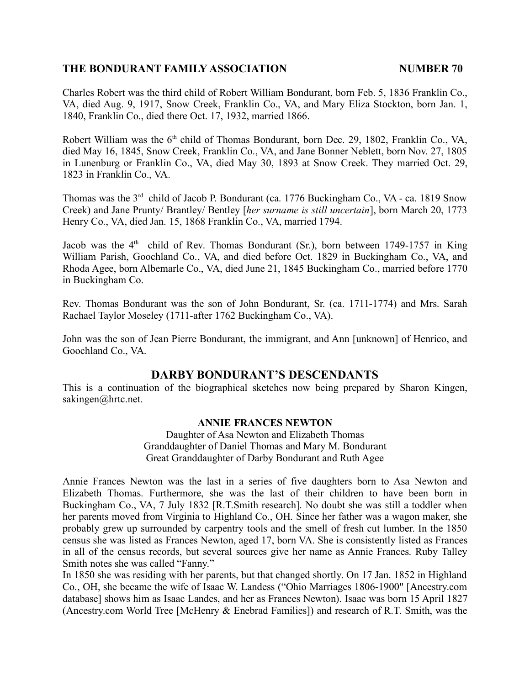Charles Robert was the third child of Robert William Bondurant, born Feb. 5, 1836 Franklin Co., VA, died Aug. 9, 1917, Snow Creek, Franklin Co., VA, and Mary Eliza Stockton, born Jan. 1, 1840, Franklin Co., died there Oct. 17, 1932, married 1866.

Robert William was the  $6<sup>th</sup>$  child of Thomas Bondurant, born Dec. 29, 1802, Franklin Co., VA, died May 16, 1845, Snow Creek, Franklin Co., VA, and Jane Bonner Neblett, born Nov. 27, 1805 in Lunenburg or Franklin Co., VA, died May 30, 1893 at Snow Creek. They married Oct. 29, 1823 in Franklin Co., VA.

Thomas was the  $3<sup>rd</sup>$  child of Jacob P. Bondurant (ca. 1776 Buckingham Co., VA - ca. 1819 Snow Creek) and Jane Prunty/ Brantley/ Bentley [*her surname is still uncertain*], born March 20, 1773 Henry Co., VA, died Jan. 15, 1868 Franklin Co., VA, married 1794.

Jacob was the  $4<sup>th</sup>$  child of Rev. Thomas Bondurant (Sr.), born between 1749-1757 in King William Parish, Goochland Co., VA, and died before Oct. 1829 in Buckingham Co., VA, and Rhoda Agee, born Albemarle Co., VA, died June 21, 1845 Buckingham Co., married before 1770 in Buckingham Co.

Rev. Thomas Bondurant was the son of John Bondurant, Sr. (ca. 1711-1774) and Mrs. Sarah Rachael Taylor Moseley (1711-after 1762 Buckingham Co., VA).

John was the son of Jean Pierre Bondurant, the immigrant, and Ann [unknown] of Henrico, and Goochland Co., VA.

# **DARBY BONDURANT'S DESCENDANTS**

This is a continuation of the biographical sketches now being prepared by Sharon Kingen, sakingen@hrtc.net.

### **ANNIE FRANCES NEWTON**

Daughter of Asa Newton and Elizabeth Thomas Granddaughter of Daniel Thomas and Mary M. Bondurant Great Granddaughter of Darby Bondurant and Ruth Agee

Annie Frances Newton was the last in a series of five daughters born to Asa Newton and Elizabeth Thomas. Furthermore, she was the last of their children to have been born in Buckingham Co., VA, 7 July 1832 [R.T.Smith research]. No doubt she was still a toddler when her parents moved from Virginia to Highland Co., OH. Since her father was a wagon maker, she probably grew up surrounded by carpentry tools and the smell of fresh cut lumber. In the 1850 census she was listed as Frances Newton, aged 17, born VA. She is consistently listed as Frances in all of the census records, but several sources give her name as Annie Frances. Ruby Talley Smith notes she was called "Fanny."

In 1850 she was residing with her parents, but that changed shortly. On 17 Jan. 1852 in Highland Co., OH, she became the wife of Isaac W. Landess ("Ohio Marriages 1806-1900" [Ancestry.com database] shows him as Isaac Landes, and her as Frances Newton). Isaac was born 15 April 1827 (Ancestry.com World Tree [McHenry & Enebrad Families]) and research of R.T. Smith, was the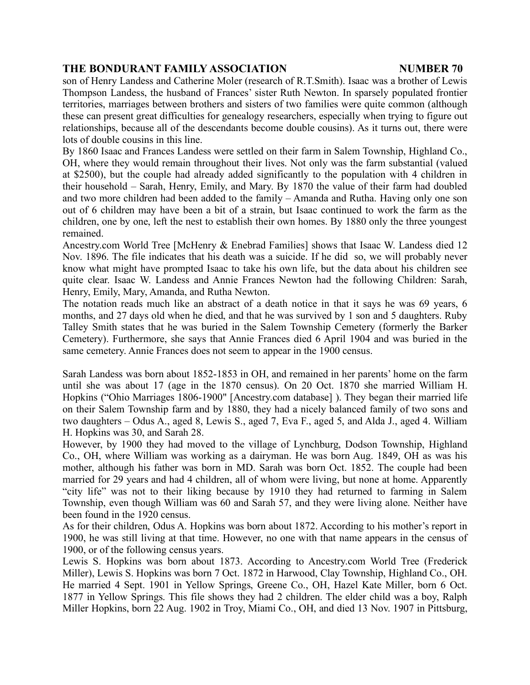son of Henry Landess and Catherine Moler (research of R.T.Smith). Isaac was a brother of Lewis Thompson Landess, the husband of Frances' sister Ruth Newton. In sparsely populated frontier territories, marriages between brothers and sisters of two families were quite common (although these can present great difficulties for genealogy researchers, especially when trying to figure out relationships, because all of the descendants become double cousins). As it turns out, there were lots of double cousins in this line.

By 1860 Isaac and Frances Landess were settled on their farm in Salem Township, Highland Co., OH, where they would remain throughout their lives. Not only was the farm substantial (valued at \$2500), but the couple had already added significantly to the population with 4 children in their household – Sarah, Henry, Emily, and Mary. By 1870 the value of their farm had doubled and two more children had been added to the family – Amanda and Rutha. Having only one son out of 6 children may have been a bit of a strain, but Isaac continued to work the farm as the children, one by one, left the nest to establish their own homes. By 1880 only the three youngest remained.

Ancestry.com World Tree [McHenry & Enebrad Families] shows that Isaac W. Landess died 12 Nov. 1896. The file indicates that his death was a suicide. If he did so, we will probably never know what might have prompted Isaac to take his own life, but the data about his children see quite clear. Isaac W. Landess and Annie Frances Newton had the following Children: Sarah, Henry, Emily, Mary, Amanda, and Rutha Newton.

The notation reads much like an abstract of a death notice in that it says he was 69 years, 6 months, and 27 days old when he died, and that he was survived by 1 son and 5 daughters. Ruby Talley Smith states that he was buried in the Salem Township Cemetery (formerly the Barker Cemetery). Furthermore, she says that Annie Frances died 6 April 1904 and was buried in the same cemetery. Annie Frances does not seem to appear in the 1900 census.

Sarah Landess was born about 1852-1853 in OH, and remained in her parents' home on the farm until she was about 17 (age in the 1870 census). On 20 Oct. 1870 she married William H. Hopkins ("Ohio Marriages 1806-1900" [Ancestry.com database] ). They began their married life on their Salem Township farm and by 1880, they had a nicely balanced family of two sons and two daughters – Odus A., aged 8, Lewis S., aged 7, Eva F., aged 5, and Alda J., aged 4. William H. Hopkins was 30, and Sarah 28.

However, by 1900 they had moved to the village of Lynchburg, Dodson Township, Highland Co., OH, where William was working as a dairyman. He was born Aug. 1849, OH as was his mother, although his father was born in MD. Sarah was born Oct. 1852. The couple had been married for 29 years and had 4 children, all of whom were living, but none at home. Apparently "city life" was not to their liking because by 1910 they had returned to farming in Salem Township, even though William was 60 and Sarah 57, and they were living alone. Neither have been found in the 1920 census.

As for their children, Odus A. Hopkins was born about 1872. According to his mother's report in 1900, he was still living at that time. However, no one with that name appears in the census of 1900, or of the following census years.

Lewis S. Hopkins was born about 1873. According to Ancestry.com World Tree (Frederick Miller), Lewis S. Hopkins was born 7 Oct. 1872 in Harwood, Clay Township, Highland Co., OH. He married 4 Sept. 1901 in Yellow Springs, Greene Co., OH, Hazel Kate Miller, born 6 Oct. 1877 in Yellow Springs. This file shows they had 2 children. The elder child was a boy, Ralph Miller Hopkins, born 22 Aug. 1902 in Troy, Miami Co., OH, and died 13 Nov. 1907 in Pittsburg,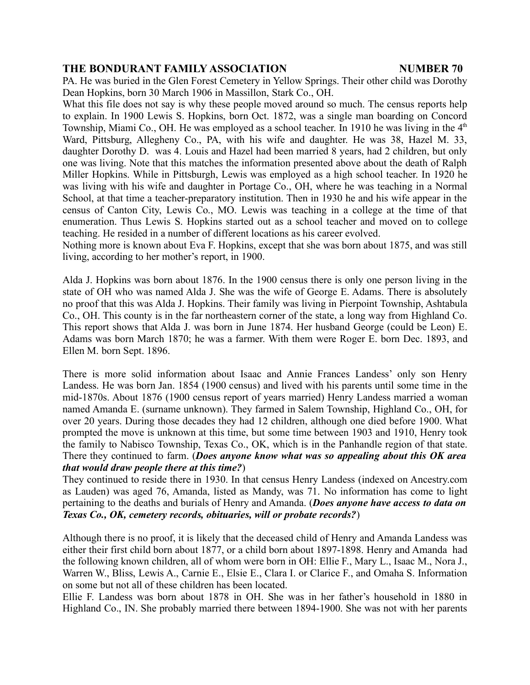PA. He was buried in the Glen Forest Cemetery in Yellow Springs. Their other child was Dorothy Dean Hopkins, born 30 March 1906 in Massillon, Stark Co., OH.

What this file does not say is why these people moved around so much. The census reports help to explain. In 1900 Lewis S. Hopkins, born Oct. 1872, was a single man boarding on Concord Township, Miami Co., OH. He was employed as a school teacher. In 1910 he was living in the  $4<sup>th</sup>$ Ward, Pittsburg, Allegheny Co., PA, with his wife and daughter. He was 38, Hazel M. 33, daughter Dorothy D. was 4. Louis and Hazel had been married 8 years, had 2 children, but only one was living. Note that this matches the information presented above about the death of Ralph Miller Hopkins. While in Pittsburgh, Lewis was employed as a high school teacher. In 1920 he was living with his wife and daughter in Portage Co., OH, where he was teaching in a Normal School, at that time a teacher-preparatory institution. Then in 1930 he and his wife appear in the census of Canton City, Lewis Co., MO. Lewis was teaching in a college at the time of that enumeration. Thus Lewis S. Hopkins started out as a school teacher and moved on to college teaching. He resided in a number of different locations as his career evolved.

Nothing more is known about Eva F. Hopkins, except that she was born about 1875, and was still living, according to her mother's report, in 1900.

Alda J. Hopkins was born about 1876. In the 1900 census there is only one person living in the state of OH who was named Alda J. She was the wife of George E. Adams. There is absolutely no proof that this was Alda J. Hopkins. Their family was living in Pierpoint Township, Ashtabula Co., OH. This county is in the far northeastern corner of the state, a long way from Highland Co. This report shows that Alda J. was born in June 1874. Her husband George (could be Leon) E. Adams was born March 1870; he was a farmer. With them were Roger E. born Dec. 1893, and Ellen M. born Sept. 1896.

There is more solid information about Isaac and Annie Frances Landess' only son Henry Landess. He was born Jan. 1854 (1900 census) and lived with his parents until some time in the mid-1870s. About 1876 (1900 census report of years married) Henry Landess married a woman named Amanda E. (surname unknown). They farmed in Salem Township, Highland Co., OH, for over 20 years. During those decades they had 12 children, although one died before 1900. What prompted the move is unknown at this time, but some time between 1903 and 1910, Henry took the family to Nabisco Township, Texas Co., OK, which is in the Panhandle region of that state. There they continued to farm. (*Does anyone know what was so appealing about this OK area that would draw people there at this time?*)

They continued to reside there in 1930. In that census Henry Landess (indexed on Ancestry.com as Lauden) was aged 76, Amanda, listed as Mandy, was 71. No information has come to light pertaining to the deaths and burials of Henry and Amanda. (*Does anyone have access to data on Texas Co., OK, cemetery records, obituaries, will or probate records?*)

Although there is no proof, it is likely that the deceased child of Henry and Amanda Landess was either their first child born about 1877, or a child born about 1897-1898. Henry and Amanda had the following known children, all of whom were born in OH: Ellie F., Mary L., Isaac M., Nora J., Warren W., Bliss, Lewis A., Carnie E., Elsie E., Clara I. or Clarice F., and Omaha S. Information on some but not all of these children has been located.

Ellie F. Landess was born about 1878 in OH. She was in her father's household in 1880 in Highland Co., IN. She probably married there between 1894-1900. She was not with her parents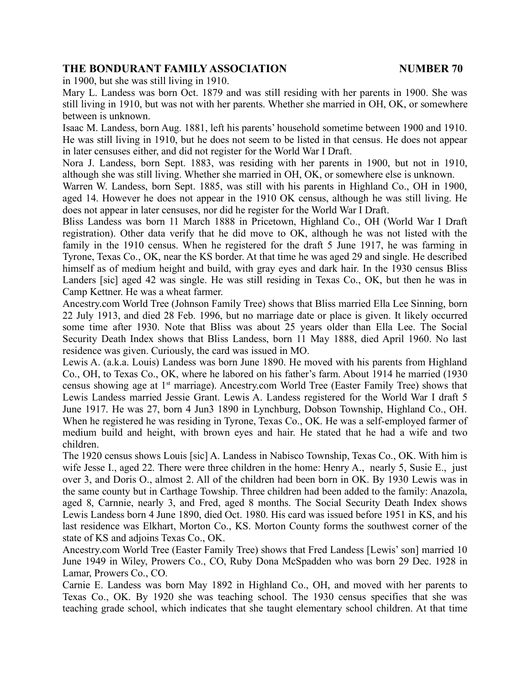in 1900, but she was still living in 1910.

Mary L. Landess was born Oct. 1879 and was still residing with her parents in 1900. She was still living in 1910, but was not with her parents. Whether she married in OH, OK, or somewhere between is unknown.

Isaac M. Landess, born Aug. 1881, left his parents' household sometime between 1900 and 1910. He was still living in 1910, but he does not seem to be listed in that census. He does not appear in later censuses either, and did not register for the World War I Draft.

Nora J. Landess, born Sept. 1883, was residing with her parents in 1900, but not in 1910, although she was still living. Whether she married in OH, OK, or somewhere else is unknown.

Warren W. Landess, born Sept. 1885, was still with his parents in Highland Co., OH in 1900, aged 14. However he does not appear in the 1910 OK census, although he was still living. He does not appear in later censuses, nor did he register for the World War I Draft.

Bliss Landess was born 11 March 1888 in Pricetown, Highland Co., OH (World War I Draft registration). Other data verify that he did move to OK, although he was not listed with the family in the 1910 census. When he registered for the draft 5 June 1917, he was farming in Tyrone, Texas Co., OK, near the KS border. At that time he was aged 29 and single. He described himself as of medium height and build, with gray eyes and dark hair. In the 1930 census Bliss Landers [sic] aged 42 was single. He was still residing in Texas Co., OK, but then he was in Camp Kettner. He was a wheat farmer.

Ancestry.com World Tree (Johnson Family Tree) shows that Bliss married Ella Lee Sinning, born 22 July 1913, and died 28 Feb. 1996, but no marriage date or place is given. It likely occurred some time after 1930. Note that Bliss was about 25 years older than Ella Lee. The Social Security Death Index shows that Bliss Landess, born 11 May 1888, died April 1960. No last residence was given. Curiously, the card was issued in MO.

Lewis A. (a.k.a. Louis) Landess was born June 1890. He moved with his parents from Highland Co., OH, to Texas Co., OK, where he labored on his father's farm. About 1914 he married (1930 census showing age at 1st marriage). Ancestry.com World Tree (Easter Family Tree) shows that Lewis Landess married Jessie Grant. Lewis A. Landess registered for the World War I draft 5 June 1917. He was 27, born 4 Jun3 1890 in Lynchburg, Dobson Township, Highland Co., OH. When he registered he was residing in Tyrone, Texas Co., OK. He was a self-employed farmer of medium build and height, with brown eyes and hair. He stated that he had a wife and two children.

The 1920 census shows Louis [sic] A. Landess in Nabisco Township, Texas Co., OK. With him is wife Jesse I., aged 22. There were three children in the home: Henry A., nearly 5, Susie E., just over 3, and Doris O., almost 2. All of the children had been born in OK. By 1930 Lewis was in the same county but in Carthage Towship. Three children had been added to the family: Anazola, aged 8, Carnnie, nearly 3, and Fred, aged 8 months. The Social Security Death Index shows Lewis Landess born 4 June 1890, died Oct. 1980. His card was issued before 1951 in KS, and his last residence was Elkhart, Morton Co., KS. Morton County forms the southwest corner of the state of KS and adjoins Texas Co., OK.

Ancestry.com World Tree (Easter Family Tree) shows that Fred Landess [Lewis' son] married 10 June 1949 in Wiley, Prowers Co., CO, Ruby Dona McSpadden who was born 29 Dec. 1928 in Lamar, Prowers Co., CO.

Carnie E. Landess was born May 1892 in Highland Co., OH, and moved with her parents to Texas Co., OK. By 1920 she was teaching school. The 1930 census specifies that she was teaching grade school, which indicates that she taught elementary school children. At that time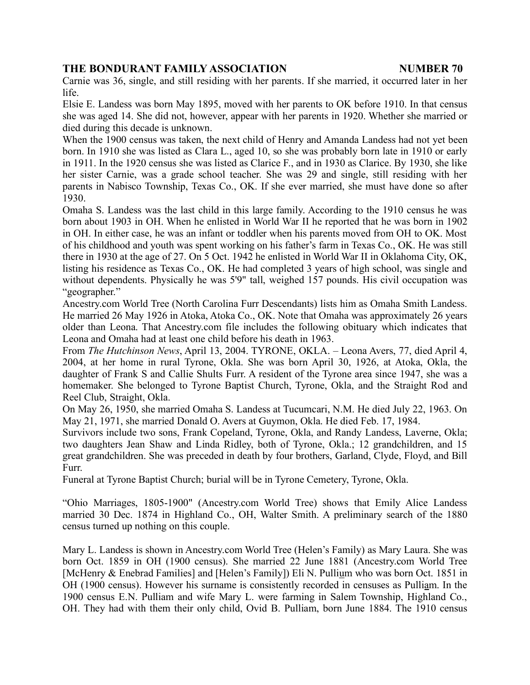Carnie was 36, single, and still residing with her parents. If she married, it occurred later in her life.

Elsie E. Landess was born May 1895, moved with her parents to OK before 1910. In that census she was aged 14. She did not, however, appear with her parents in 1920. Whether she married or died during this decade is unknown.

When the 1900 census was taken, the next child of Henry and Amanda Landess had not yet been born. In 1910 she was listed as Clara L., aged 10, so she was probably born late in 1910 or early in 1911. In the 1920 census she was listed as Clarice F., and in 1930 as Clarice. By 1930, she like her sister Carnie, was a grade school teacher. She was 29 and single, still residing with her parents in Nabisco Township, Texas Co., OK. If she ever married, she must have done so after 1930.

Omaha S. Landess was the last child in this large family. According to the 1910 census he was born about 1903 in OH. When he enlisted in World War II he reported that he was born in 1902 in OH. In either case, he was an infant or toddler when his parents moved from OH to OK. Most of his childhood and youth was spent working on his father's farm in Texas Co., OK. He was still there in 1930 at the age of 27. On 5 Oct. 1942 he enlisted in World War II in Oklahoma City, OK, listing his residence as Texas Co., OK. He had completed 3 years of high school, was single and without dependents. Physically he was 5'9" tall, weighed 157 pounds. His civil occupation was "geographer."

Ancestry.com World Tree (North Carolina Furr Descendants) lists him as Omaha Smith Landess. He married 26 May 1926 in Atoka, Atoka Co., OK. Note that Omaha was approximately 26 years older than Leona. That Ancestry.com file includes the following obituary which indicates that Leona and Omaha had at least one child before his death in 1963.

From *The Hutchinson News*, April 13, 2004. TYRONE, OKLA. – Leona Avers, 77, died April 4, 2004, at her home in rural Tyrone, Okla. She was born April 30, 1926, at Atoka, Okla, the daughter of Frank S and Callie Shults Furr. A resident of the Tyrone area since 1947, she was a homemaker. She belonged to Tyrone Baptist Church, Tyrone, Okla, and the Straight Rod and Reel Club, Straight, Okla.

On May 26, 1950, she married Omaha S. Landess at Tucumcari, N.M. He died July 22, 1963. On May 21, 1971, she married Donald O. Avers at Guymon, Okla. He died Feb. 17, 1984.

Survivors include two sons, Frank Copeland, Tyrone, Okla, and Randy Landess, Laverne, Okla; two daughters Jean Shaw and Linda Ridley, both of Tyrone, Okla.; 12 grandchildren, and 15 great grandchildren. She was preceded in death by four brothers, Garland, Clyde, Floyd, and Bill Furr.

Funeral at Tyrone Baptist Church; burial will be in Tyrone Cemetery, Tyrone, Okla.

"Ohio Marriages, 1805-1900" (Ancestry.com World Tree) shows that Emily Alice Landess married 30 Dec. 1874 in Highland Co., OH, Walter Smith. A preliminary search of the 1880 census turned up nothing on this couple.

Mary L. Landess is shown in Ancestry.com World Tree (Helen's Family) as Mary Laura. She was born Oct. 1859 in OH (1900 census). She married 22 June 1881 (Ancestry.com World Tree [McHenry & Enebrad Families] and [Helen's Family]) Eli N. Pullium who was born Oct. 1851 in OH (1900 census). However his surname is consistently recorded in censuses as Pulliam. In the 1900 census E.N. Pulliam and wife Mary L. were farming in Salem Township, Highland Co., OH. They had with them their only child, Ovid B. Pulliam, born June 1884. The 1910 census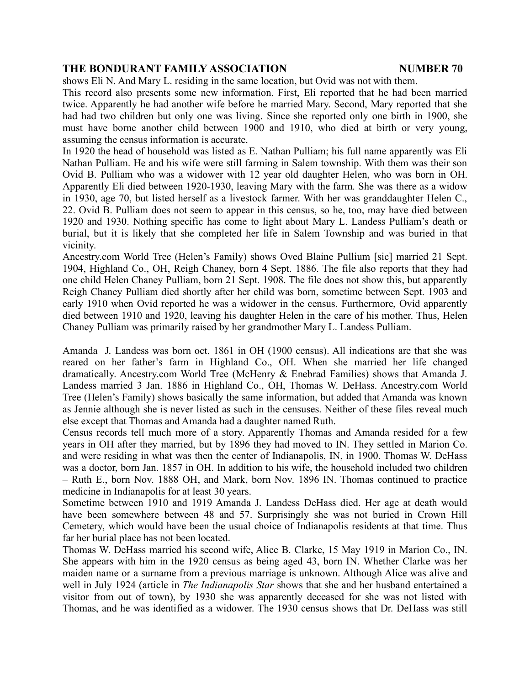shows Eli N. And Mary L. residing in the same location, but Ovid was not with them.

This record also presents some new information. First, Eli reported that he had been married twice. Apparently he had another wife before he married Mary. Second, Mary reported that she had had two children but only one was living. Since she reported only one birth in 1900, she must have borne another child between 1900 and 1910, who died at birth or very young, assuming the census information is accurate.

In 1920 the head of household was listed as E. Nathan Pulliam; his full name apparently was Eli Nathan Pulliam. He and his wife were still farming in Salem township. With them was their son Ovid B. Pulliam who was a widower with 12 year old daughter Helen, who was born in OH. Apparently Eli died between 1920-1930, leaving Mary with the farm. She was there as a widow in 1930, age 70, but listed herself as a livestock farmer. With her was granddaughter Helen C., 22. Ovid B. Pulliam does not seem to appear in this census, so he, too, may have died between 1920 and 1930. Nothing specific has come to light about Mary L. Landess Pulliam's death or burial, but it is likely that she completed her life in Salem Township and was buried in that vicinity.

Ancestry.com World Tree (Helen's Family) shows Oved Blaine Pullium [sic] married 21 Sept. 1904, Highland Co., OH, Reigh Chaney, born 4 Sept. 1886. The file also reports that they had one child Helen Chaney Pulliam, born 21 Sept. 1908. The file does not show this, but apparently Reigh Chaney Pulliam died shortly after her child was born, sometime between Sept. 1903 and early 1910 when Ovid reported he was a widower in the census. Furthermore, Ovid apparently died between 1910 and 1920, leaving his daughter Helen in the care of his mother. Thus, Helen Chaney Pulliam was primarily raised by her grandmother Mary L. Landess Pulliam.

Amanda J. Landess was born oct. 1861 in OH (1900 census). All indications are that she was reared on her father's farm in Highland Co., OH. When she married her life changed dramatically. Ancestry.com World Tree (McHenry & Enebrad Families) shows that Amanda J. Landess married 3 Jan. 1886 in Highland Co., OH, Thomas W. DeHass. Ancestry.com World Tree (Helen's Family) shows basically the same information, but added that Amanda was known as Jennie although she is never listed as such in the censuses. Neither of these files reveal much else except that Thomas and Amanda had a daughter named Ruth.

Census records tell much more of a story. Apparently Thomas and Amanda resided for a few years in OH after they married, but by 1896 they had moved to IN. They settled in Marion Co. and were residing in what was then the center of Indianapolis, IN, in 1900. Thomas W. DeHass was a doctor, born Jan. 1857 in OH. In addition to his wife, the household included two children – Ruth E., born Nov. 1888 OH, and Mark, born Nov. 1896 IN. Thomas continued to practice medicine in Indianapolis for at least 30 years.

Sometime between 1910 and 1919 Amanda J. Landess DeHass died. Her age at death would have been somewhere between 48 and 57. Surprisingly she was not buried in Crown Hill Cemetery, which would have been the usual choice of Indianapolis residents at that time. Thus far her burial place has not been located.

Thomas W. DeHass married his second wife, Alice B. Clarke, 15 May 1919 in Marion Co., IN. She appears with him in the 1920 census as being aged 43, born IN. Whether Clarke was her maiden name or a surname from a previous marriage is unknown. Although Alice was alive and well in July 1924 (article in *The Indianapolis Star* shows that she and her husband entertained a visitor from out of town), by 1930 she was apparently deceased for she was not listed with Thomas, and he was identified as a widower. The 1930 census shows that Dr. DeHass was still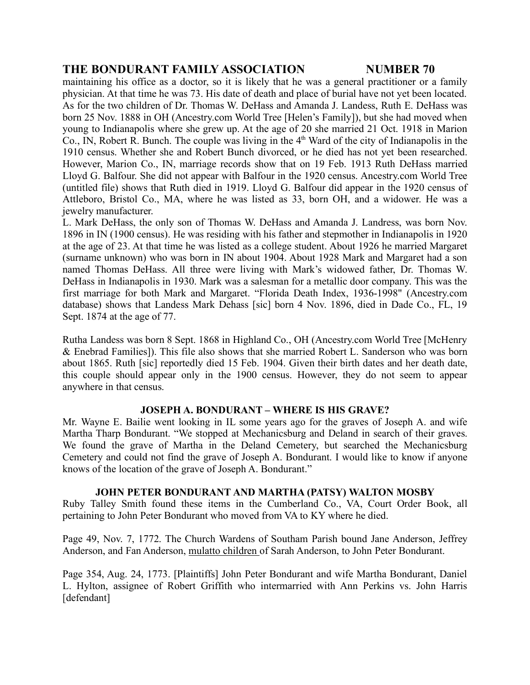maintaining his office as a doctor, so it is likely that he was a general practitioner or a family physician. At that time he was 73. His date of death and place of burial have not yet been located. As for the two children of Dr. Thomas W. DeHass and Amanda J. Landess, Ruth E. DeHass was born 25 Nov. 1888 in OH (Ancestry.com World Tree [Helen's Family]), but she had moved when young to Indianapolis where she grew up. At the age of 20 she married 21 Oct. 1918 in Marion Co., IN, Robert R. Bunch. The couple was living in the  $4<sup>th</sup>$  Ward of the city of Indianapolis in the 1910 census. Whether she and Robert Bunch divorced, or he died has not yet been researched. However, Marion Co., IN, marriage records show that on 19 Feb. 1913 Ruth DeHass married Lloyd G. Balfour. She did not appear with Balfour in the 1920 census. Ancestry.com World Tree (untitled file) shows that Ruth died in 1919. Lloyd G. Balfour did appear in the 1920 census of Attleboro, Bristol Co., MA, where he was listed as 33, born OH, and a widower. He was a jewelry manufacturer.

L. Mark DeHass, the only son of Thomas W. DeHass and Amanda J. Landress, was born Nov. 1896 in IN (1900 census). He was residing with his father and stepmother in Indianapolis in 1920 at the age of 23. At that time he was listed as a college student. About 1926 he married Margaret (surname unknown) who was born in IN about 1904. About 1928 Mark and Margaret had a son named Thomas DeHass. All three were living with Mark's widowed father, Dr. Thomas W. DeHass in Indianapolis in 1930. Mark was a salesman for a metallic door company. This was the first marriage for both Mark and Margaret. "Florida Death Index, 1936-1998" (Ancestry.com database) shows that Landess Mark Dehass [sic] born 4 Nov. 1896, died in Dade Co., FL, 19 Sept. 1874 at the age of 77.

Rutha Landess was born 8 Sept. 1868 in Highland Co., OH (Ancestry.com World Tree [McHenry & Enebrad Families]). This file also shows that she married Robert L. Sanderson who was born about 1865. Ruth [sic] reportedly died 15 Feb. 1904. Given their birth dates and her death date, this couple should appear only in the 1900 census. However, they do not seem to appear anywhere in that census.

### **JOSEPH A. BONDURANT – WHERE IS HIS GRAVE?**

Mr. Wayne E. Bailie went looking in IL some years ago for the graves of Joseph A. and wife Martha Tharp Bondurant. "We stopped at Mechanicsburg and Deland in search of their graves. We found the grave of Martha in the Deland Cemetery, but searched the Mechanicsburg Cemetery and could not find the grave of Joseph A. Bondurant. I would like to know if anyone knows of the location of the grave of Joseph A. Bondurant."

### **JOHN PETER BONDURANT AND MARTHA (PATSY) WALTON MOSBY**

Ruby Talley Smith found these items in the Cumberland Co., VA, Court Order Book, all pertaining to John Peter Bondurant who moved from VA to KY where he died.

Page 49, Nov. 7, 1772. The Church Wardens of Southam Parish bound Jane Anderson, Jeffrey Anderson, and Fan Anderson, mulatto children of Sarah Anderson, to John Peter Bondurant.

Page 354, Aug. 24, 1773. [Plaintiffs] John Peter Bondurant and wife Martha Bondurant, Daniel L. Hylton, assignee of Robert Griffith who intermarried with Ann Perkins vs. John Harris [defendant]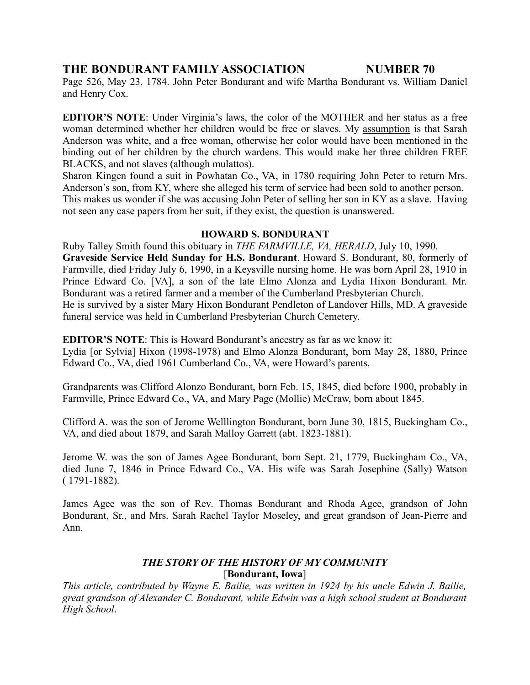Page 526, May 23, 1784. John Peter Bondurant and wife Martha Bondurant vs. William Daniel and Henry Cox.

**EDITOR'S NOTE**: Under Virginia's laws, the color of the MOTHER and her status as a free woman determined whether her children would be free or slaves. My assumption is that Sarah Anderson was white, and a free woman, otherwise her color would have been mentioned in the binding out of her children by the church wardens. This would make her three children FREE BLACKS, and not slaves (although mulattos).

Sharon Kingen found a suit in Powhatan Co., VA, in 1780 requiring John Peter to return Mrs. Anderson's son, from KY, where she alleged his term of service had been sold to another person. This makes us wonder if she was accusing John Peter of selling her son in KY as a slave. Having not seen any case papers from her suit, if they exist, the question is unanswered.

### **HOWARD S. BONDURANT**

Ruby Talley Smith found this obituary in *THE FARMVILLE, VA, HERALD*, July 10, 1990. **Graveside Service Held Sunday for H.S. Bondurant**. Howard S. Bondurant, 80, formerly of Farmville, died Friday July 6, 1990, in a Keysville nursing home. He was born April 28, 1910 in Prince Edward Co. [VA], a son of the late Elmo Alonza and Lydia Hixon Bondurant. Mr. Bondurant was a retired farmer and a member of the Cumberland Presbyterian Church. He is survived by a sister Mary Hixon Bondurant Pendleton of Landover Hills, MD. A graveside funeral service was held in Cumberland Presbyterian Church Cemetery.

**EDITOR'S NOTE**: This is Howard Bondurant's ancestry as far as we know it:

Lydia [or Sylvia] Hixon (1998-1978) and Elmo Alonza Bondurant, born May 28, 1880, Prince Edward Co., VA, died 1961 Cumberland Co., VA, were Howard's parents.

Grandparents was Clifford Alonzo Bondurant, born Feb. 15, 1845, died before 1900, probably in Farmville, Prince Edward Co., VA, and Mary Page (Mollie) McCraw, born about 1845.

Clifford A. was the son of Jerome Welllington Bondurant, born June 30, 1815, Buckingham Co., VA, and died about 1879, and Sarah Malloy Garrett (abt. 1823-1881).

Jerome W. was the son of James Agee Bondurant, born Sept. 21, 1779, Buckingham Co., VA, died June 7, 1846 in Prince Edward Co., VA. His wife was Sarah Josephine (Sally) Watson ( 1791-1882).

James Agee was the son of Rev. Thomas Bondurant and Rhoda Agee, grandson of John Bondurant, Sr., and Mrs. Sarah Rachel Taylor Moseley, and great grandson of Jean-Pierre and Ann.

# *THE STORY OF THE HISTORY OF MY COMMUNITY* [**Bondurant, Iowa**]

*This article, contributed by Wayne E. Bailie, was written in 1924 by his uncle Edwin J. Bailie, great grandson of Alexander C. Bondurant, while Edwin was a high school student at Bondurant High School*.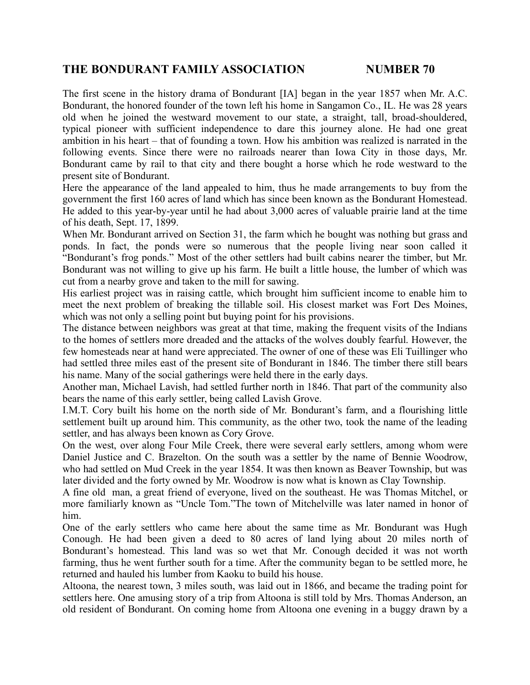The first scene in the history drama of Bondurant [IA] began in the year 1857 when Mr. A.C. Bondurant, the honored founder of the town left his home in Sangamon Co., IL. He was 28 years old when he joined the westward movement to our state, a straight, tall, broad-shouldered, typical pioneer with sufficient independence to dare this journey alone. He had one great ambition in his heart – that of founding a town. How his ambition was realized is narrated in the following events. Since there were no railroads nearer than Iowa City in those days, Mr. Bondurant came by rail to that city and there bought a horse which he rode westward to the present site of Bondurant.

Here the appearance of the land appealed to him, thus he made arrangements to buy from the government the first 160 acres of land which has since been known as the Bondurant Homestead. He added to this year-by-year until he had about 3,000 acres of valuable prairie land at the time of his death, Sept. 17, 1899.

When Mr. Bondurant arrived on Section 31, the farm which he bought was nothing but grass and ponds. In fact, the ponds were so numerous that the people living near soon called it "Bondurant's frog ponds." Most of the other settlers had built cabins nearer the timber, but Mr. Bondurant was not willing to give up his farm. He built a little house, the lumber of which was cut from a nearby grove and taken to the mill for sawing.

His earliest project was in raising cattle, which brought him sufficient income to enable him to meet the next problem of breaking the tillable soil. His closest market was Fort Des Moines, which was not only a selling point but buying point for his provisions.

The distance between neighbors was great at that time, making the frequent visits of the Indians to the homes of settlers more dreaded and the attacks of the wolves doubly fearful. However, the few homesteads near at hand were appreciated. The owner of one of these was Eli Tuillinger who had settled three miles east of the present site of Bondurant in 1846. The timber there still bears his name. Many of the social gatherings were held there in the early days.

Another man, Michael Lavish, had settled further north in 1846. That part of the community also bears the name of this early settler, being called Lavish Grove.

I.M.T. Cory built his home on the north side of Mr. Bondurant's farm, and a flourishing little settlement built up around him. This community, as the other two, took the name of the leading settler, and has always been known as Cory Grove.

On the west, over along Four Mile Creek, there were several early settlers, among whom were Daniel Justice and C. Brazelton. On the south was a settler by the name of Bennie Woodrow, who had settled on Mud Creek in the year 1854. It was then known as Beaver Township, but was later divided and the forty owned by Mr. Woodrow is now what is known as Clay Township.

A fine old man, a great friend of everyone, lived on the southeast. He was Thomas Mitchel, or more familiarly known as "Uncle Tom."The town of Mitchelville was later named in honor of him.

One of the early settlers who came here about the same time as Mr. Bondurant was Hugh Conough. He had been given a deed to 80 acres of land lying about 20 miles north of Bondurant's homestead. This land was so wet that Mr. Conough decided it was not worth farming, thus he went further south for a time. After the community began to be settled more, he returned and hauled his lumber from Kaoku to build his house.

Altoona, the nearest town, 3 miles south, was laid out in 1866, and became the trading point for settlers here. One amusing story of a trip from Altoona is still told by Mrs. Thomas Anderson, an old resident of Bondurant. On coming home from Altoona one evening in a buggy drawn by a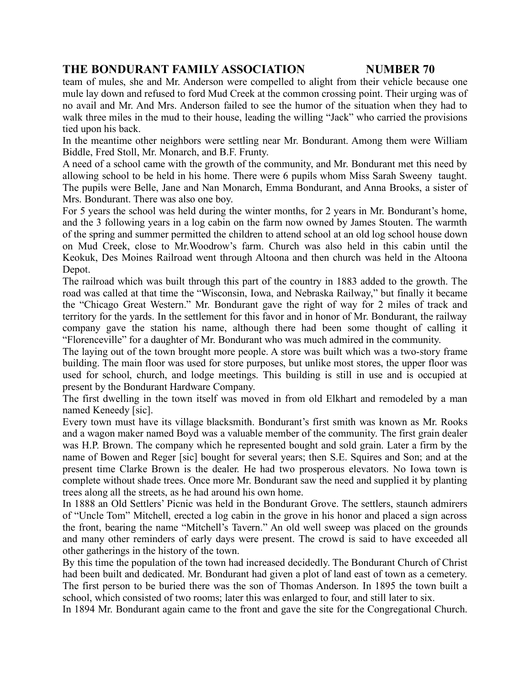team of mules, she and Mr. Anderson were compelled to alight from their vehicle because one mule lay down and refused to ford Mud Creek at the common crossing point. Their urging was of no avail and Mr. And Mrs. Anderson failed to see the humor of the situation when they had to walk three miles in the mud to their house, leading the willing "Jack" who carried the provisions tied upon his back.

In the meantime other neighbors were settling near Mr. Bondurant. Among them were William Biddle, Fred Stoll, Mr. Monarch, and B.F. Frunty.

A need of a school came with the growth of the community, and Mr. Bondurant met this need by allowing school to be held in his home. There were 6 pupils whom Miss Sarah Sweeny taught. The pupils were Belle, Jane and Nan Monarch, Emma Bondurant, and Anna Brooks, a sister of Mrs. Bondurant. There was also one boy.

For 5 years the school was held during the winter months, for 2 years in Mr. Bondurant's home, and the 3 following years in a log cabin on the farm now owned by James Stouten. The warmth of the spring and summer permitted the children to attend school at an old log school house down on Mud Creek, close to Mr.Woodrow's farm. Church was also held in this cabin until the Keokuk, Des Moines Railroad went through Altoona and then church was held in the Altoona Depot.

The railroad which was built through this part of the country in 1883 added to the growth. The road was called at that time the "Wisconsin, Iowa, and Nebraska Railway," but finally it became the "Chicago Great Western." Mr. Bondurant gave the right of way for 2 miles of track and territory for the yards. In the settlement for this favor and in honor of Mr. Bondurant, the railway company gave the station his name, although there had been some thought of calling it "Florenceville" for a daughter of Mr. Bondurant who was much admired in the community.

The laying out of the town brought more people. A store was built which was a two-story frame building. The main floor was used for store purposes, but unlike most stores, the upper floor was used for school, church, and lodge meetings. This building is still in use and is occupied at present by the Bondurant Hardware Company.

The first dwelling in the town itself was moved in from old Elkhart and remodeled by a man named Keneedy [sic].

Every town must have its village blacksmith. Bondurant's first smith was known as Mr. Rooks and a wagon maker named Boyd was a valuable member of the community. The first grain dealer was H.P. Brown. The company which he represented bought and sold grain. Later a firm by the name of Bowen and Reger [sic] bought for several years; then S.E. Squires and Son; and at the present time Clarke Brown is the dealer. He had two prosperous elevators. No Iowa town is complete without shade trees. Once more Mr. Bondurant saw the need and supplied it by planting trees along all the streets, as he had around his own home.

In 1888 an Old Settlers' Picnic was held in the Bondurant Grove. The settlers, staunch admirers of "Uncle Tom" Mitchell, erected a log cabin in the grove in his honor and placed a sign across the front, bearing the name "Mitchell's Tavern." An old well sweep was placed on the grounds and many other reminders of early days were present. The crowd is said to have exceeded all other gatherings in the history of the town.

By this time the population of the town had increased decidedly. The Bondurant Church of Christ had been built and dedicated. Mr. Bondurant had given a plot of land east of town as a cemetery. The first person to be buried there was the son of Thomas Anderson. In 1895 the town built a school, which consisted of two rooms; later this was enlarged to four, and still later to six.

In 1894 Mr. Bondurant again came to the front and gave the site for the Congregational Church.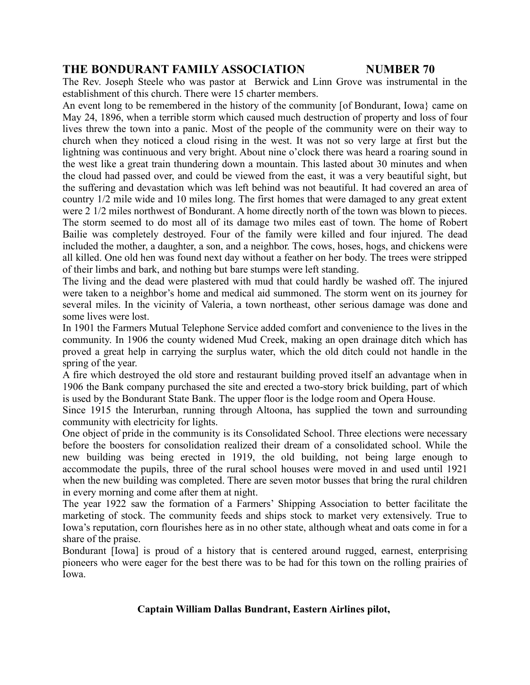The Rev. Joseph Steele who was pastor at Berwick and Linn Grove was instrumental in the establishment of this church. There were 15 charter members.

An event long to be remembered in the history of the community [of Bondurant, Iowa} came on May 24, 1896, when a terrible storm which caused much destruction of property and loss of four lives threw the town into a panic. Most of the people of the community were on their way to church when they noticed a cloud rising in the west. It was not so very large at first but the lightning was continuous and very bright. About nine o'clock there was heard a roaring sound in the west like a great train thundering down a mountain. This lasted about 30 minutes and when the cloud had passed over, and could be viewed from the east, it was a very beautiful sight, but the suffering and devastation which was left behind was not beautiful. It had covered an area of country 1/2 mile wide and 10 miles long. The first homes that were damaged to any great extent were 2 1/2 miles northwest of Bondurant. A home directly north of the town was blown to pieces. The storm seemed to do most all of its damage two miles east of town. The home of Robert Bailie was completely destroyed. Four of the family were killed and four injured. The dead included the mother, a daughter, a son, and a neighbor. The cows, hoses, hogs, and chickens were all killed. One old hen was found next day without a feather on her body. The trees were stripped of their limbs and bark, and nothing but bare stumps were left standing.

The living and the dead were plastered with mud that could hardly be washed off. The injured were taken to a neighbor's home and medical aid summoned. The storm went on its journey for several miles. In the vicinity of Valeria, a town northeast, other serious damage was done and some lives were lost.

In 1901 the Farmers Mutual Telephone Service added comfort and convenience to the lives in the community. In 1906 the county widened Mud Creek, making an open drainage ditch which has proved a great help in carrying the surplus water, which the old ditch could not handle in the spring of the year.

A fire which destroyed the old store and restaurant building proved itself an advantage when in 1906 the Bank company purchased the site and erected a two-story brick building, part of which is used by the Bondurant State Bank. The upper floor is the lodge room and Opera House.

Since 1915 the Interurban, running through Altoona, has supplied the town and surrounding community with electricity for lights.

One object of pride in the community is its Consolidated School. Three elections were necessary before the boosters for consolidation realized their dream of a consolidated school. While the new building was being erected in 1919, the old building, not being large enough to accommodate the pupils, three of the rural school houses were moved in and used until 1921 when the new building was completed. There are seven motor busses that bring the rural children in every morning and come after them at night.

The year 1922 saw the formation of a Farmers' Shipping Association to better facilitate the marketing of stock. The community feeds and ships stock to market very extensively. True to Iowa's reputation, corn flourishes here as in no other state, although wheat and oats come in for a share of the praise.

Bondurant [Iowa] is proud of a history that is centered around rugged, earnest, enterprising pioneers who were eager for the best there was to be had for this town on the rolling prairies of Iowa.

### **Captain William Dallas Bundrant, Eastern Airlines pilot,**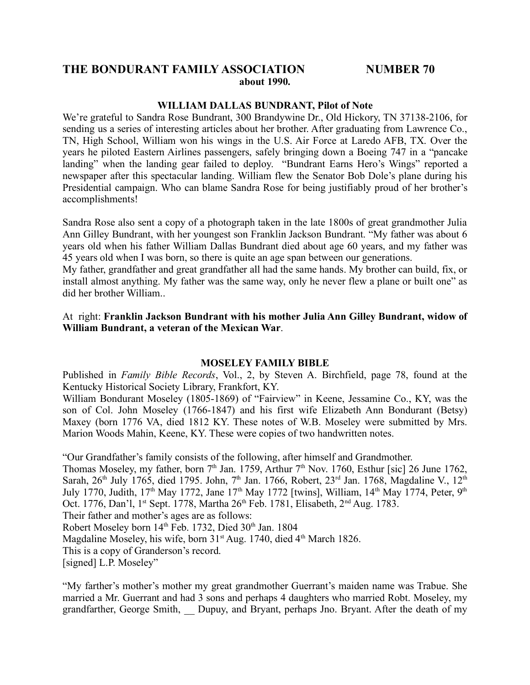### **THE BONDURANT FAMILY ASSOCIATION NUMBER 70 about 1990.**

#### **WILLIAM DALLAS BUNDRANT, Pilot of Note**

We're grateful to Sandra Rose Bundrant, 300 Brandywine Dr., Old Hickory, TN 37138-2106, for sending us a series of interesting articles about her brother. After graduating from Lawrence Co., TN, High School, William won his wings in the U.S. Air Force at Laredo AFB, TX. Over the years he piloted Eastern Airlines passengers, safely bringing down a Boeing 747 in a "pancake landing" when the landing gear failed to deploy. "Bundrant Earns Hero's Wings" reported a newspaper after this spectacular landing. William flew the Senator Bob Dole's plane during his Presidential campaign. Who can blame Sandra Rose for being justifiably proud of her brother's accomplishments!

Sandra Rose also sent a copy of a photograph taken in the late 1800s of great grandmother Julia Ann Gilley Bundrant, with her youngest son Franklin Jackson Bundrant. "My father was about 6 years old when his father William Dallas Bundrant died about age 60 years, and my father was 45 years old when I was born, so there is quite an age span between our generations.

My father, grandfather and great grandfather all had the same hands. My brother can build, fix, or install almost anything. My father was the same way, only he never flew a plane or built one" as did her brother William..

At right: **Franklin Jackson Bundrant with his mother Julia Ann Gilley Bundrant, widow of William Bundrant, a veteran of the Mexican War**.

#### **MOSELEY FAMILY BIBLE**

Published in *Family Bible Records*, Vol., 2, by Steven A. Birchfield, page 78, found at the Kentucky Historical Society Library, Frankfort, KY.

William Bondurant Moseley (1805-1869) of "Fairview" in Keene, Jessamine Co., KY, was the son of Col. John Moseley (1766-1847) and his first wife Elizabeth Ann Bondurant (Betsy) Maxey (born 1776 VA, died 1812 KY. These notes of W.B. Moseley were submitted by Mrs. Marion Woods Mahin, Keene, KY. These were copies of two handwritten notes.

"Our Grandfather's family consists of the following, after himself and Grandmother. Thomas Moseley, my father, born  $7<sup>th</sup>$  Jan. 1759, Arthur  $7<sup>th</sup>$  Nov. 1760, Esthur [sic] 26 June 1762, Sarah, 26<sup>th</sup> July 1765, died 1795. John, 7<sup>th</sup> Jan. 1766, Robert, 23<sup>rd</sup> Jan. 1768, Magdaline V., 12<sup>th</sup> July 1770, Judith, 17<sup>th</sup> May 1772, Jane 17<sup>th</sup> May 1772 [twins], William, 14<sup>th</sup> May 1774, Peter, 9<sup>th</sup> Oct. 1776, Dan'l, 1<sup>st</sup> Sept. 1778, Martha 26<sup>th</sup> Feb. 1781, Elisabeth, 2<sup>nd</sup> Aug. 1783. Their father and mother's ages are as follows: Robert Moseley born 14<sup>th</sup> Feb. 1732, Died 30<sup>th</sup> Jan. 1804 Magdaline Moseley, his wife, born 31<sup>st</sup> Aug. 1740, died 4<sup>th</sup> March 1826. This is a copy of Granderson's record. [signed] L.P. Moseley"

"My farther's mother's mother my great grandmother Guerrant's maiden name was Trabue. She married a Mr. Guerrant and had 3 sons and perhaps 4 daughters who married Robt. Moseley, my grandfarther, George Smith, \_\_ Dupuy, and Bryant, perhaps Jno. Bryant. After the death of my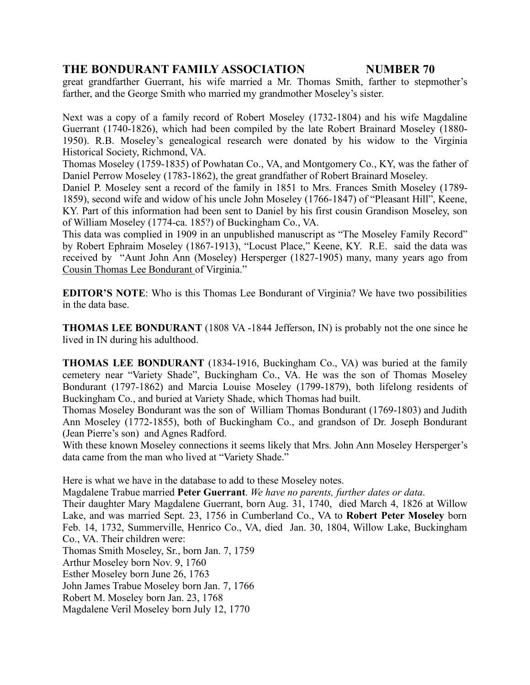great grandfarther Guerrant, his wife married a Mr. Thomas Smith, farther to stepmother's farther, and the George Smith who married my grandmother Moseley's sister.

Next was a copy of a family record of Robert Moseley (1732-1804) and his wife Magdaline Guerrant (1740-1826), which had been compiled by the late Robert Brainard Moseley (1880- 1950). R.B. Moseley's genealogical research were donated by his widow to the Virginia Historical Society, Richmond, VA.

Thomas Moseley (1759-1835) of Powhatan Co., VA, and Montgomery Co., KY, was the father of Daniel Perrow Moseley (1783-1862), the great grandfather of Robert Brainard Moseley.

Daniel P. Moseley sent a record of the family in 1851 to Mrs. Frances Smith Moseley (1789- 1859), second wife and widow of his uncle John Moseley (1766-1847) of "Pleasant Hill", Keene, KY. Part of this information had been sent to Daniel by his first cousin Grandison Moseley, son of William Moseley (1774-ca. 185?) of Buckingham Co., VA.

This data was complied in 1909 in an unpublished manuscript as "The Moseley Family Record" by Robert Ephraim Moseley (1867-1913), "Locust Place," Keene, KY. R.E. said the data was received by "Aunt John Ann (Moseley) Hersperger (1827-1905) many, many years ago from Cousin Thomas Lee Bondurant of Virginia."

**EDITOR'S NOTE**: Who is this Thomas Lee Bondurant of Virginia? We have two possibilities in the data base.

**THOMAS LEE BONDURANT** (1808 VA -1844 Jefferson, IN) is probably not the one since he lived in IN during his adulthood.

**THOMAS LEE BONDURANT** (1834-1916, Buckingham Co., VA) was buried at the family cemetery near "Variety Shade", Buckingham Co., VA. He was the son of Thomas Moseley Bondurant (1797-1862) and Marcia Louise Moseley (1799-1879), both lifelong residents of Buckingham Co., and buried at Variety Shade, which Thomas had built.

Thomas Moseley Bondurant was the son of William Thomas Bondurant (1769-1803) and Judith Ann Moseley (1772-1855), both of Buckingham Co., and grandson of Dr. Joseph Bondurant (Jean Pierre's son) and Agnes Radford.

With these known Moseley connections it seems likely that Mrs. John Ann Moseley Hersperger's data came from the man who lived at "Variety Shade."

Here is what we have in the database to add to these Moseley notes.

Magdalene Trabue married **Peter Guerrant**. *We have no parents, further dates or data*.

Their daughter Mary Magdalene Guerrant, born Aug. 31, 1740, died March 4, 1826 at Willow Lake, and was married Sept. 23, 1756 in Cumberland Co., VA to **Robert Peter Moseley** born Feb. 14, 1732, Summerville, Henrico Co., VA, died Jan. 30, 1804, Willow Lake, Buckingham Co., VA. Their children were:

Thomas Smith Moseley, Sr., born Jan. 7, 1759

Arthur Moseley born Nov. 9, 1760

Esther Moseley born June 26, 1763

John James Trabue Moseley born Jan. 7, 1766

Robert M. Moseley born Jan. 23, 1768

Magdalene Veril Moseley born July 12, 1770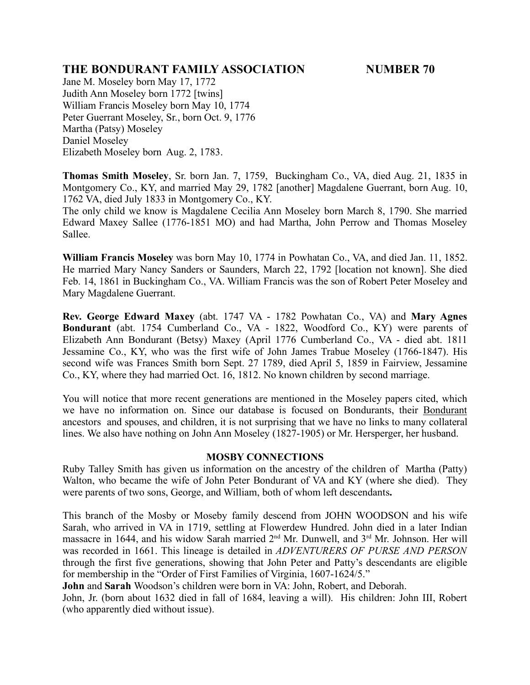Jane M. Moseley born May 17, 1772 Judith Ann Moseley born 1772 [twins] William Francis Moseley born May 10, 1774 Peter Guerrant Moseley, Sr., born Oct. 9, 1776 Martha (Patsy) Moseley Daniel Moseley Elizabeth Moseley born Aug. 2, 1783.

**Thomas Smith Moseley**, Sr. born Jan. 7, 1759, Buckingham Co., VA, died Aug. 21, 1835 in Montgomery Co., KY, and married May 29, 1782 [another] Magdalene Guerrant, born Aug. 10, 1762 VA, died July 1833 in Montgomery Co., KY.

The only child we know is Magdalene Cecilia Ann Moseley born March 8, 1790. She married Edward Maxey Sallee (1776-1851 MO) and had Martha, John Perrow and Thomas Moseley Sallee.

**William Francis Moseley** was born May 10, 1774 in Powhatan Co., VA, and died Jan. 11, 1852. He married Mary Nancy Sanders or Saunders, March 22, 1792 [location not known]. She died Feb. 14, 1861 in Buckingham Co., VA. William Francis was the son of Robert Peter Moseley and Mary Magdalene Guerrant.

**Rev. George Edward Maxey** (abt. 1747 VA - 1782 Powhatan Co., VA) and **Mary Agnes Bondurant** (abt. 1754 Cumberland Co., VA - 1822, Woodford Co., KY) were parents of Elizabeth Ann Bondurant (Betsy) Maxey (April 1776 Cumberland Co., VA - died abt. 1811 Jessamine Co., KY, who was the first wife of John James Trabue Moseley (1766-1847). His second wife was Frances Smith born Sept. 27 1789, died April 5, 1859 in Fairview, Jessamine Co., KY, where they had married Oct. 16, 1812. No known children by second marriage.

You will notice that more recent generations are mentioned in the Moseley papers cited, which we have no information on. Since our database is focused on Bondurants, their Bondurant ancestors and spouses, and children, it is not surprising that we have no links to many collateral lines. We also have nothing on John Ann Moseley (1827-1905) or Mr. Hersperger, her husband.

### **MOSBY CONNECTIONS**

Ruby Talley Smith has given us information on the ancestry of the children of Martha (Patty) Walton, who became the wife of John Peter Bondurant of VA and KY (where she died). They were parents of two sons, George, and William, both of whom left descendants**.**

This branch of the Mosby or Moseby family descend from JOHN WOODSON and his wife Sarah, who arrived in VA in 1719, settling at Flowerdew Hundred. John died in a later Indian massacre in 1644, and his widow Sarah married 2<sup>nd</sup> Mr. Dunwell, and 3<sup>rd</sup> Mr. Johnson. Her will was recorded in 1661. This lineage is detailed in *ADVENTURERS OF PURSE AND PERSON* through the first five generations, showing that John Peter and Patty's descendants are eligible for membership in the "Order of First Families of Virginia, 1607-1624/5."

**John** and **Sarah** Woodson's children were born in VA: John, Robert, and Deborah.

John, Jr. (born about 1632 died in fall of 1684, leaving a will). His children: John III, Robert (who apparently died without issue).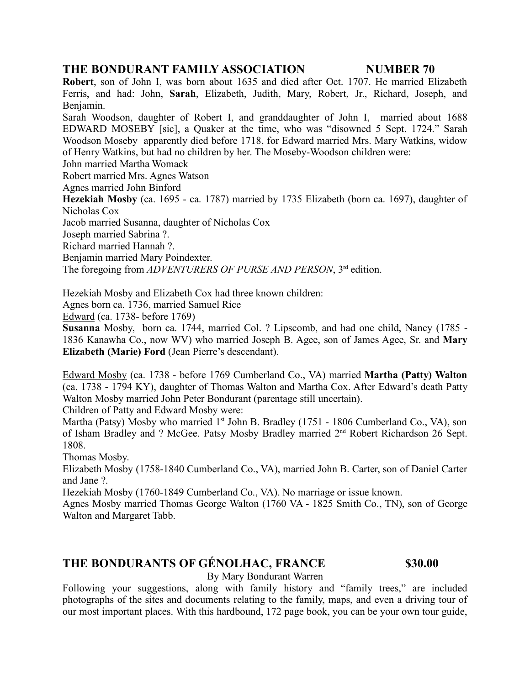**Robert**, son of John I, was born about 1635 and died after Oct. 1707. He married Elizabeth Ferris, and had: John, **Sarah**, Elizabeth, Judith, Mary, Robert, Jr., Richard, Joseph, and Benjamin.

Sarah Woodson, daughter of Robert I, and granddaughter of John I, married about 1688 EDWARD MOSEBY [sic], a Quaker at the time, who was "disowned 5 Sept. 1724." Sarah Woodson Moseby apparently died before 1718, for Edward married Mrs. Mary Watkins, widow of Henry Watkins, but had no children by her. The Moseby-Woodson children were:

John married Martha Womack

Robert married Mrs. Agnes Watson

Agnes married John Binford

**Hezekiah Mosby** (ca. 1695 - ca. 1787) married by 1735 Elizabeth (born ca. 1697), daughter of Nicholas Cox

Jacob married Susanna, daughter of Nicholas Cox

Joseph married Sabrina ?.

Richard married Hannah ?.

Benjamin married Mary Poindexter.

The foregoing from *ADVENTURERS OF PURSE AND PERSON*, 3rd edition.

Hezekiah Mosby and Elizabeth Cox had three known children:

Agnes born ca. 1736, married Samuel Rice

Edward (ca. 1738- before 1769)

**Susanna** Mosby, born ca. 1744, married Col. ? Lipscomb, and had one child, Nancy (1785 - 1836 Kanawha Co., now WV) who married Joseph B. Agee, son of James Agee, Sr. and **Mary Elizabeth (Marie) Ford** (Jean Pierre's descendant).

Edward Mosby (ca. 1738 - before 1769 Cumberland Co., VA) married **Martha (Patty) Walton** (ca. 1738 - 1794 KY), daughter of Thomas Walton and Martha Cox. After Edward's death Patty Walton Mosby married John Peter Bondurant (parentage still uncertain). Children of Patty and Edward Mosby were:

Martha (Patsy) Mosby who married  $1<sup>st</sup>$  John B. Bradley (1751 - 1806 Cumberland Co., VA), son of Isham Bradley and ? McGee. Patsy Mosby Bradley married 2nd Robert Richardson 26 Sept. 1808.

Thomas Mosby.

Elizabeth Mosby (1758-1840 Cumberland Co., VA), married John B. Carter, son of Daniel Carter and Jane ?.

Hezekiah Mosby (1760-1849 Cumberland Co., VA). No marriage or issue known.

Agnes Mosby married Thomas George Walton (1760 VA - 1825 Smith Co., TN), son of George Walton and Margaret Tabb.

# **THE BONDURANTS OF GÉNOLHAC, FRANCE \$30.00**

By Mary Bondurant Warren

Following your suggestions, along with family history and "family trees," are included photographs of the sites and documents relating to the family, maps, and even a driving tour of our most important places. With this hardbound, 172 page book, you can be your own tour guide,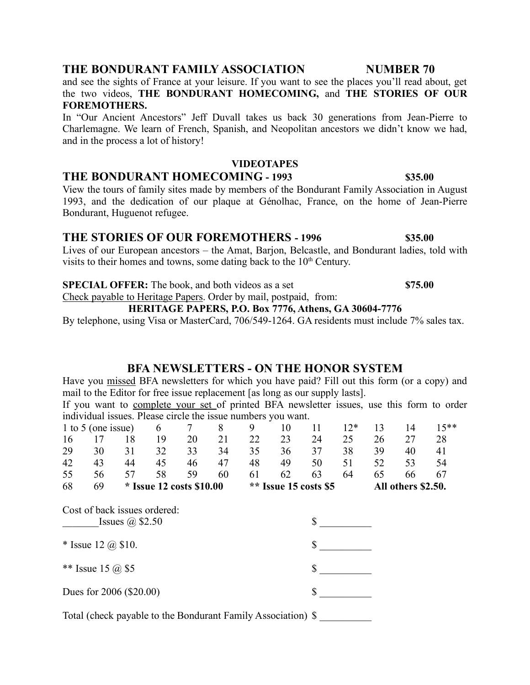and see the sights of France at your leisure. If you want to see the places you'll read about, get the two videos, **THE BONDURANT HOMECOMING,** and **THE STORIES OF OUR FOREMOTHERS.**

In "Our Ancient Ancestors" Jeff Duvall takes us back 30 generations from Jean-Pierre to Charlemagne. We learn of French, Spanish, and Neopolitan ancestors we didn't know we had, and in the process a lot of history!

#### **VIDEOTAPES**

### **THE BONDURANT HOMECOMING - 1993 \$35.00**

View the tours of family sites made by members of the Bondurant Family Association in August 1993, and the dedication of our plaque at Génolhac, France, on the home of Jean-Pierre Bondurant, Huguenot refugee.

# **THE STORIES OF OUR FOREMOTHERS - 1996 \$35.00**

Lives of our European ancestors – the Amat, Barjon, Belcastle, and Bondurant ladies, told with visits to their homes and towns, some dating back to the  $10<sup>th</sup>$  Century.

**SPECIAL OFFER:** The book, and both videos as a set **\$75.00**

Check payable to Heritage Papers. Order by mail, postpaid, from:

### **HERITAGE PAPERS, P.O. Box 7776, Athens, GA 30604-7776**

By telephone, using Visa or MasterCard, 706/549-1264. GA residents must include 7% sales tax.

# **BFA NEWSLETTERS - ON THE HONOR SYSTEM**

Have you missed BFA newsletters for which you have paid? Fill out this form (or a copy) and mail to the Editor for free issue replacement [as long as our supply lasts].

If you want to complete your set of printed BFA newsletter issues, use this form to order individual issues. Please circle the issue numbers you want.

| 1 to 5 (one issue)                                                                  |    | 6  | 7  | 8                                                   | 9  | 10 | 11 | $12*$    | 13 | 14                 | $15***$ |    |
|-------------------------------------------------------------------------------------|----|----|----|-----------------------------------------------------|----|----|----|----------|----|--------------------|---------|----|
| 16                                                                                  | 17 | 18 | 19 | 20                                                  | 21 | 22 | 23 | 24       | 25 | 26                 | 27      | 28 |
| 29                                                                                  | 30 | 31 | 32 | 33                                                  | 34 | 35 | 36 | 37       | 38 | 39                 | 40      | 41 |
| 42                                                                                  | 43 | 44 | 45 | 46                                                  | 47 | 48 | 49 | 50       | 51 | 52                 | 53      | 54 |
| 55                                                                                  | 56 | 57 | 58 | 59                                                  | 60 | 61 | 62 | 63       | 64 | 65                 | 66      | 67 |
| 68<br>69                                                                            |    |    |    | ** Issue 15 costs \$5<br>$*$ Issue 12 costs \$10.00 |    |    |    |          |    | All others \$2.50. |         |    |
| Cost of back issues ordered:<br>Issues $\omega$ \$2.50<br>* Issue 12 $\omega$ \$10. |    |    |    |                                                     |    |    |    | \$<br>\$ |    |                    |         |    |
| ** Issue 15 $(a)$ \$5                                                               |    |    |    |                                                     |    |    | \$ |          |    |                    |         |    |
| Dues for 2006 (\$20.00)                                                             |    |    |    |                                                     |    |    | \$ |          |    |                    |         |    |
| Total (check payable to the Bondurant Family Association) \$                        |    |    |    |                                                     |    |    |    |          |    |                    |         |    |